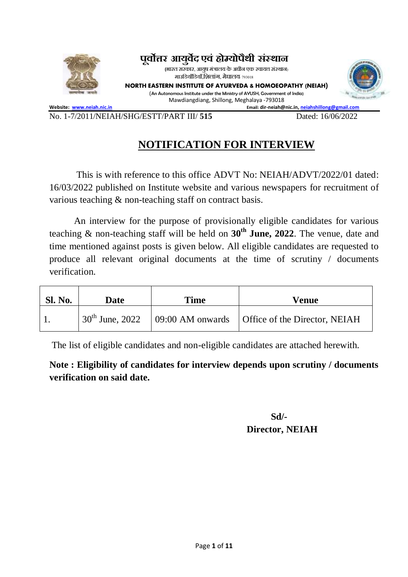

**पर्वूोत्तर आयर्वुेद एर्वं होम्योपथैी संस्थान**

**(**भारत सरकार, आयषु मंत्रालय केअधीन एक स्वायत्त संस्थान) माउडियााँडियााँ,डिलांग, मेघालय- <sup>793018</sup>

**NORTH EASTERN INSTITUTE OF AYURVEDA & HOMOEOPATHY (NEIAH)** (An Autonomous Institute under the Ministry of AYUSH, Government of India**)** Mawdiangdiang, Shillong, Meghalaya -793018



**Website:** [www.neiah.nic.in](http://www.neiah.nic.in/) **Email: dir-neiah@nic.in**, [neiahshillong@gmail.com](mailto:neiahshillong@gmail.com)

#### No. 1-7/2011/NEIAH/SHG/ESTT/PART III/ **515** Dated: 16/06/2022

### **NOTIFICATION FOR INTERVIEW**

This is with reference to this office ADVT No: NEIAH/ADVT/2022/01 dated: 16/03/2022 published on Institute website and various newspapers for recruitment of various teaching & non-teaching staff on contract basis.

An interview for the purpose of provisionally eligible candidates for various teaching & non-teaching staff will be held on **30th June, 2022**. The venue, date and time mentioned against posts is given below. All eligible candidates are requested to produce all relevant original documents at the time of scrutiny / documents verification.

| <b>Sl. No.</b> | Date | Time | Venue                                                                |
|----------------|------|------|----------------------------------------------------------------------|
|                |      |      | $30th$ June, 2022   09:00 AM onwards   Office of the Director, NEIAH |

The list of eligible candidates and non-eligible candidates are attached herewith.

**Note : Eligibility of candidates for interview depends upon scrutiny / documents verification on said date.**

#### **Sd/- Director, NEIAH**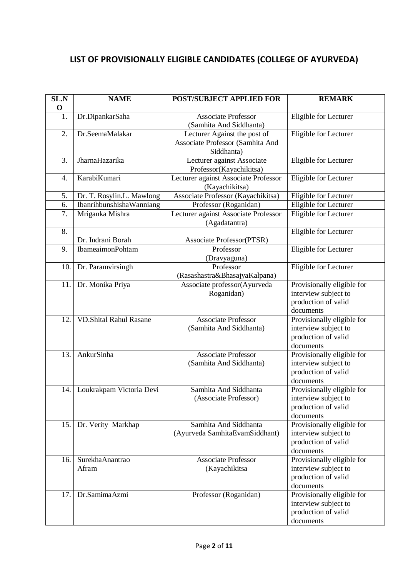#### **LIST OF PROVISIONALLY ELIGIBLE CANDIDATES (COLLEGE OF AYURVEDA)**

| SL.N<br>$\mathbf 0$ | <b>NAME</b>                   | POST/SUBJECT APPLIED FOR                                                       | <b>REMARK</b>                                                                          |
|---------------------|-------------------------------|--------------------------------------------------------------------------------|----------------------------------------------------------------------------------------|
| 1.                  | Dr.DipankarSaha               | <b>Associate Professor</b><br>(Samhita And Siddhanta)                          | Eligible for Lecturer                                                                  |
| 2.                  | Dr.SeemaMalakar               | Lecturer Against the post of<br>Associate Professor (Samhita And<br>Siddhanta) | Eligible for Lecturer                                                                  |
| 3.                  | <b>JharnaHazarika</b>         | Lecturer against Associate<br>Professor(Kayachikitsa)                          | Eligible for Lecturer                                                                  |
| 4.                  | KarabiKumari                  | Lecturer against Associate Professor<br>(Kayachikitsa)                         | Eligible for Lecturer                                                                  |
| 5.                  | Dr. T. Rosylin.L. Mawlong     | Associate Professor (Kayachikitsa)                                             | Eligible for Lecturer                                                                  |
| 6.                  | IbanrihbunshishaWanniang      | Professor (Roganidan)                                                          | Eligible for Lecturer                                                                  |
| 7.                  | Mriganka Mishra               | Lecturer against Associate Professor<br>(Agadatantra)                          | Eligible for Lecturer                                                                  |
| 8.                  |                               |                                                                                | Eligible for Lecturer                                                                  |
|                     | Dr. Indrani Borah             | <b>Associate Professor(PTSR)</b>                                               |                                                                                        |
| 9.                  | <b>IbameaimonPohtam</b>       | Professor                                                                      | Eligible for Lecturer                                                                  |
|                     |                               | (Dravyaguna)                                                                   |                                                                                        |
| 10.                 | Dr. Paramvirsingh             | Professor                                                                      | Eligible for Lecturer                                                                  |
|                     |                               | (Rasashastra&BhasajyaKalpana)                                                  |                                                                                        |
| 11.                 | Dr. Monika Priya              | Associate professor(Ayurveda<br>Roganidan)                                     | Provisionally eligible for<br>interview subject to<br>production of valid<br>documents |
| 12.                 | <b>VD.Shital Rahul Rasane</b> | <b>Associate Professor</b><br>(Samhita And Siddhanta)                          | Provisionally eligible for<br>interview subject to<br>production of valid<br>documents |
| 13.                 | AnkurSinha                    | <b>Associate Professor</b><br>(Samhita And Siddhanta)                          | Provisionally eligible for<br>interview subject to<br>production of valid<br>documents |
| 14.                 | Loukrakpam Victoria Devi      | Samhita And Siddhanta<br>(Associate Professor)                                 | Provisionally eligible for<br>interview subject to<br>production of valid<br>documents |
| 15.                 | Dr. Verity Markhap            | Samhita And Siddhanta<br>(Ayurveda SamhitaEvamSiddhant)                        | Provisionally eligible for<br>interview subject to<br>production of valid<br>documents |
| 16.                 | SurekhaAnantrao<br>Afram      | <b>Associate Professor</b><br>(Kayachikitsa                                    | Provisionally eligible for<br>interview subject to<br>production of valid<br>documents |
| 17.                 | Dr.SamimaAzmi                 | Professor (Roganidan)                                                          | Provisionally eligible for<br>interview subject to<br>production of valid<br>documents |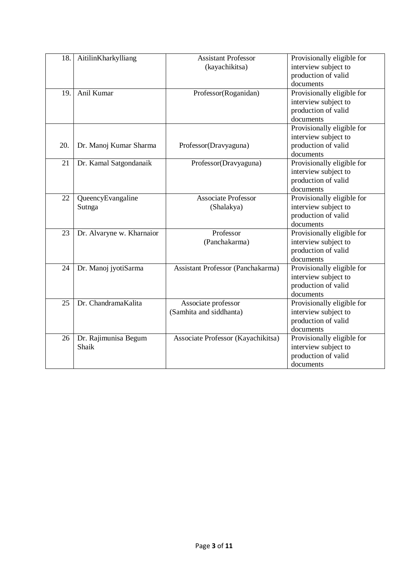| 18. | AitilinKharkylliang       | <b>Assistant Professor</b>         | Provisionally eligible for |
|-----|---------------------------|------------------------------------|----------------------------|
|     |                           | (kayachikitsa)                     | interview subject to       |
|     |                           |                                    | production of valid        |
|     |                           |                                    | documents                  |
| 19. | Anil Kumar                | Professor(Roganidan)               | Provisionally eligible for |
|     |                           |                                    | interview subject to       |
|     |                           |                                    | production of valid        |
|     |                           |                                    | documents                  |
|     |                           |                                    | Provisionally eligible for |
|     |                           |                                    | interview subject to       |
| 20. | Dr. Manoj Kumar Sharma    | Professor(Dravyaguna)              | production of valid        |
|     |                           |                                    | documents                  |
| 21  | Dr. Kamal Satgondanaik    | Professor(Dravyaguna)              | Provisionally eligible for |
|     |                           |                                    | interview subject to       |
|     |                           |                                    | production of valid        |
|     |                           |                                    | documents                  |
| 22  | QueencyEvangaline         | <b>Associate Professor</b>         | Provisionally eligible for |
|     | Sutnga                    | (Shalakya)                         | interview subject to       |
|     |                           |                                    | production of valid        |
|     |                           |                                    | documents                  |
| 23  | Dr. Alvaryne w. Kharnaior | Professor                          | Provisionally eligible for |
|     |                           | (Panchakarma)                      | interview subject to       |
|     |                           |                                    | production of valid        |
|     |                           |                                    | documents                  |
| 24  | Dr. Manoj jyotiSarma      | Assistant Professor (Panchakarma)  | Provisionally eligible for |
|     |                           |                                    | interview subject to       |
|     |                           |                                    | production of valid        |
|     |                           |                                    | documents                  |
| 25  | Dr. ChandramaKalita       | Associate professor                | Provisionally eligible for |
|     |                           | (Samhita and siddhanta)            | interview subject to       |
|     |                           |                                    | production of valid        |
|     |                           |                                    | documents                  |
| 26  | Dr. Rajimunisa Begum      | Associate Professor (Kayachikitsa) | Provisionally eligible for |
|     | Shaik                     |                                    | interview subject to       |
|     |                           |                                    | production of valid        |
|     |                           |                                    | documents                  |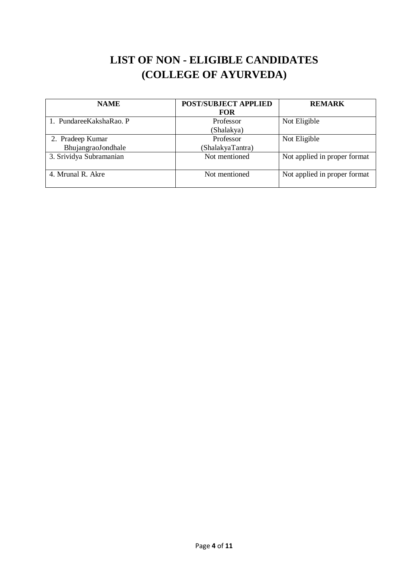# **LIST OF NON - ELIGIBLE CANDIDATES (COLLEGE OF AYURVEDA)**

| <b>NAME</b>                            | <b>POST/SUBJECT APPLIED</b><br><b>FOR</b> | <b>REMARK</b>                |
|----------------------------------------|-------------------------------------------|------------------------------|
| 1. PundareeKakshaRao. P                | Professor<br>(Shalakya)                   | Not Eligible                 |
| 2. Pradeep Kumar<br>BhujangraoJondhale | Professor<br>(ShalakyaTantra)             | Not Eligible                 |
| 3. Srividya Subramanian                | Not mentioned                             | Not applied in proper format |
| 4. Mrunal R. Akre                      | Not mentioned                             | Not applied in proper format |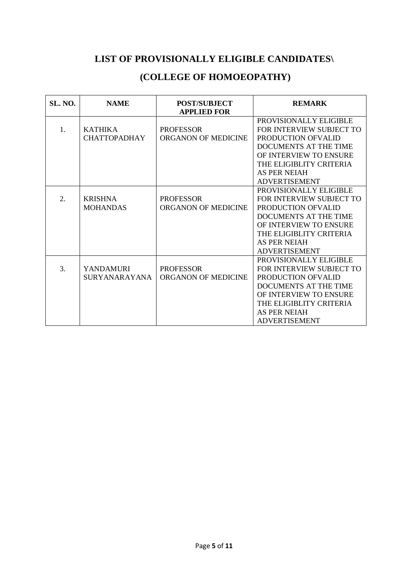### **LIST OF PROVISIONALLY ELIGIBLE CANDIDATES\**

# **(COLLEGE OF HOMOEOPATHY)**

| <b>SL. NO.</b> | <b>NAME</b>          | <b>POST/SUBJECT</b><br><b>APPLIED FOR</b> | <b>REMARK</b>            |
|----------------|----------------------|-------------------------------------------|--------------------------|
|                |                      |                                           | PROVISIONALLY ELIGIBLE   |
| 1.             | <b>KATHIKA</b>       | <b>PROFESSOR</b>                          | FOR INTERVIEW SUBJECT TO |
|                | <b>CHATTOPADHAY</b>  | ORGANON OF MEDICINE                       | PRODUCTION OFVALID       |
|                |                      |                                           | DOCUMENTS AT THE TIME    |
|                |                      |                                           | OF INTERVIEW TO ENSURE   |
|                |                      |                                           | THE ELIGIBLITY CRITERIA  |
|                |                      |                                           | <b>AS PER NEIAH</b>      |
|                |                      |                                           | <b>ADVERTISEMENT</b>     |
|                |                      |                                           | PROVISIONALLY ELIGIBLE   |
| 2.             | <b>KRISHNA</b>       | <b>PROFESSOR</b>                          | FOR INTERVIEW SUBJECT TO |
|                | <b>MOHANDAS</b>      | <b>ORGANON OF MEDICINE</b>                | PRODUCTION OFVALID       |
|                |                      |                                           | DOCUMENTS AT THE TIME    |
|                |                      |                                           | OF INTERVIEW TO ENSURE   |
|                |                      |                                           | THE ELIGIBLITY CRITERIA  |
|                |                      |                                           | <b>AS PER NEIAH</b>      |
|                |                      |                                           | <b>ADVERTISEMENT</b>     |
|                |                      |                                           | PROVISIONALLY ELIGIBLE   |
| 3.             | <b>YANDAMURI</b>     | <b>PROFESSOR</b>                          | FOR INTERVIEW SUBJECT TO |
|                | <b>SURYANARAYANA</b> | ORGANON OF MEDICINE                       | PRODUCTION OFVALID       |
|                |                      |                                           | DOCUMENTS AT THE TIME    |
|                |                      |                                           | OF INTERVIEW TO ENSURE   |
|                |                      |                                           | THE ELIGIBLITY CRITERIA  |
|                |                      |                                           | AS PER NEIAH             |
|                |                      |                                           | <b>ADVERTISEMENT</b>     |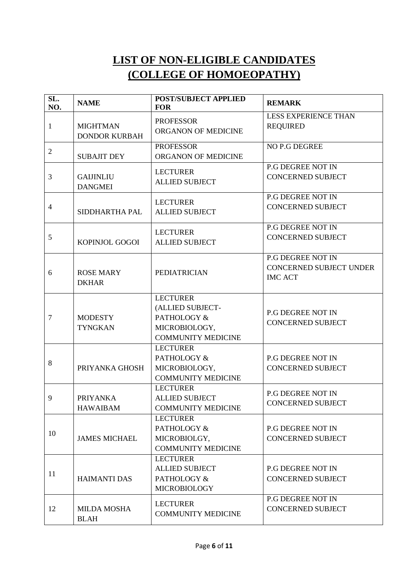# **LIST OF NON-ELIGIBLE CANDIDATES (COLLEGE OF HOMOEOPATHY)**

| SL.<br>NO.     | <b>NAME</b>                             | POST/SUBJECT APPLIED<br><b>FOR</b>                                                               | <b>REMARK</b>                                                                |
|----------------|-----------------------------------------|--------------------------------------------------------------------------------------------------|------------------------------------------------------------------------------|
| $\mathbf{1}$   | <b>MIGHTMAN</b><br><b>DONDOR KURBAH</b> | <b>PROFESSOR</b><br>ORGANON OF MEDICINE                                                          | <b>LESS EXPERIENCE THAN</b><br><b>REQUIRED</b>                               |
| $\overline{2}$ | <b>SUBAJIT DEY</b>                      | <b>PROFESSOR</b><br>ORGANON OF MEDICINE                                                          | NO P.G DEGREE                                                                |
| 3              | <b>GAIJINLIU</b><br><b>DANGMEI</b>      | <b>LECTURER</b><br><b>ALLIED SUBJECT</b>                                                         | <b>P.G DEGREE NOT IN</b><br><b>CONCERNED SUBJECT</b>                         |
| $\overline{4}$ | SIDDHARTHA PAL                          | <b>LECTURER</b><br><b>ALLIED SUBJECT</b>                                                         | P.G DEGREE NOT IN<br><b>CONCERNED SUBJECT</b>                                |
| 5              | KOPINJOL GOGOI                          | <b>LECTURER</b><br><b>ALLIED SUBJECT</b>                                                         | P.G DEGREE NOT IN<br><b>CONCERNED SUBJECT</b>                                |
| 6              | <b>ROSE MARY</b><br><b>DKHAR</b>        | <b>PEDIATRICIAN</b>                                                                              | <b>P.G DEGREE NOT IN</b><br><b>CONCERNED SUBJECT UNDER</b><br><b>IMC ACT</b> |
| $\tau$         | <b>MODESTY</b><br><b>TYNGKAN</b>        | <b>LECTURER</b><br>(ALLIED SUBJECT-<br>PATHOLOGY &<br>MICROBIOLOGY,<br><b>COMMUNITY MEDICINE</b> | <b>P.G DEGREE NOT IN</b><br><b>CONCERNED SUBJECT</b>                         |
| 8              | PRIYANKA GHOSH                          | <b>LECTURER</b><br>PATHOLOGY &<br>MICROBIOLOGY,<br><b>COMMUNITY MEDICINE</b>                     | <b>P.G DEGREE NOT IN</b><br><b>CONCERNED SUBJECT</b>                         |
| 9              | <b>PRIYANKA</b><br><b>HAWAIBAM</b>      | <b>LECTURER</b><br><b>ALLIED SUBJECT</b><br><b>COMMUNITY MEDICINE</b>                            | <b>P.G DEGREE NOT IN</b><br><b>CONCERNED SUBJECT</b>                         |
| 10             | <b>JAMES MICHAEL</b>                    | <b>LECTURER</b><br>PATHOLOGY &<br>MICROBIOLGY,<br><b>COMMUNITY MEDICINE</b>                      | P.G DEGREE NOT IN<br><b>CONCERNED SUBJECT</b>                                |
| 11             | <b>HAIMANTI DAS</b>                     | <b>LECTURER</b><br><b>ALLIED SUBJECT</b><br>PATHOLOGY &<br><b>MICROBIOLOGY</b>                   | <b>P.G DEGREE NOT IN</b><br><b>CONCERNED SUBJECT</b>                         |
| 12             | <b>MILDA MOSHA</b><br><b>BLAH</b>       | <b>LECTURER</b><br><b>COMMUNITY MEDICINE</b>                                                     | P.G DEGREE NOT IN<br><b>CONCERNED SUBJECT</b>                                |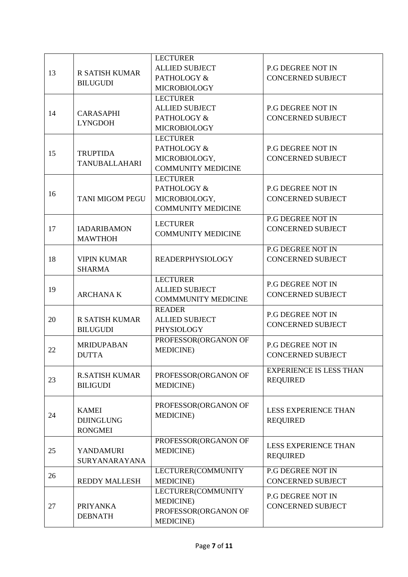| 13 | <b>R SATISH KUMAR</b><br><b>BILUGUDI</b>            | <b>LECTURER</b><br><b>ALLIED SUBJECT</b><br>PATHOLOGY &<br><b>MICROBIOLOGY</b>       | P.G DEGREE NOT IN<br><b>CONCERNED SUBJECT</b>        |
|----|-----------------------------------------------------|--------------------------------------------------------------------------------------|------------------------------------------------------|
| 14 | <b>CARASAPHI</b><br><b>LYNGDOH</b>                  | <b>LECTURER</b><br><b>ALLIED SUBJECT</b><br>PATHOLOGY &<br><b>MICROBIOLOGY</b>       | <b>P.G DEGREE NOT IN</b><br><b>CONCERNED SUBJECT</b> |
| 15 | <b>TRUPTIDA</b><br><b>TANUBALLAHARI</b>             | <b>LECTURER</b><br>PATHOLOGY &<br>MICROBIOLOGY,<br><b>COMMUNITY MEDICINE</b>         | P.G DEGREE NOT IN<br><b>CONCERNED SUBJECT</b>        |
| 16 | <b>TANI MIGOM PEGU</b>                              | <b>LECTURER</b><br>PATHOLOGY &<br>MICROBIOLOGY,<br><b>COMMUNITY MEDICINE</b>         | <b>P.G DEGREE NOT IN</b><br><b>CONCERNED SUBJECT</b> |
| 17 | <b>IADARIBAMON</b><br><b>MAWTHOH</b>                | <b>LECTURER</b><br><b>COMMUNITY MEDICINE</b>                                         | P.G DEGREE NOT IN<br><b>CONCERNED SUBJECT</b>        |
| 18 | <b>VIPIN KUMAR</b><br><b>SHARMA</b>                 | <b>READERPHYSIOLOGY</b>                                                              | P.G DEGREE NOT IN<br><b>CONCERNED SUBJECT</b>        |
| 19 | <b>ARCHANAK</b>                                     | <b>LECTURER</b><br><b>ALLIED SUBJECT</b><br><b>COMMMUNITY MEDICINE</b>               | <b>P.G DEGREE NOT IN</b><br><b>CONCERNED SUBJECT</b> |
| 20 | R SATISH KUMAR<br><b>BILUGUDI</b>                   | <b>READER</b><br><b>ALLIED SUBJECT</b><br>PHYSIOLOGY                                 | <b>P.G DEGREE NOT IN</b><br><b>CONCERNED SUBJECT</b> |
| 22 | <b>MRIDUPABAN</b><br><b>DUTTA</b>                   | PROFESSOR(ORGANON OF<br><b>MEDICINE</b> )                                            | <b>P.G DEGREE NOT IN</b><br><b>CONCERNED SUBJECT</b> |
| 23 | <b>R.SATISH KUMAR</b><br><b>BILIGUDI</b>            | PROFESSOR(ORGANON OF<br><b>MEDICINE</b> )                                            | <b>EXPERIENCE IS LESS THAN</b><br><b>REQUIRED</b>    |
| 24 | <b>KAMEI</b><br><b>DIJINGLUNG</b><br><b>RONGMEI</b> | PROFESSOR(ORGANON OF<br><b>MEDICINE</b> )                                            | <b>LESS EXPERIENCE THAN</b><br><b>REQUIRED</b>       |
| 25 | <b>YANDAMURI</b><br>SURYANARAYANA                   | PROFESSOR(ORGANON OF<br><b>MEDICINE</b> )                                            | <b>LESS EXPERIENCE THAN</b><br><b>REQUIRED</b>       |
| 26 | <b>REDDY MALLESH</b>                                | LECTURER(COMMUNITY<br><b>MEDICINE</b> )                                              | P.G DEGREE NOT IN<br><b>CONCERNED SUBJECT</b>        |
| 27 | <b>PRIYANKA</b><br><b>DEBNATH</b>                   | LECTURER(COMMUNITY<br><b>MEDICINE</b> )<br>PROFESSOR(ORGANON OF<br><b>MEDICINE</b> ) | <b>P.G DEGREE NOT IN</b><br><b>CONCERNED SUBJECT</b> |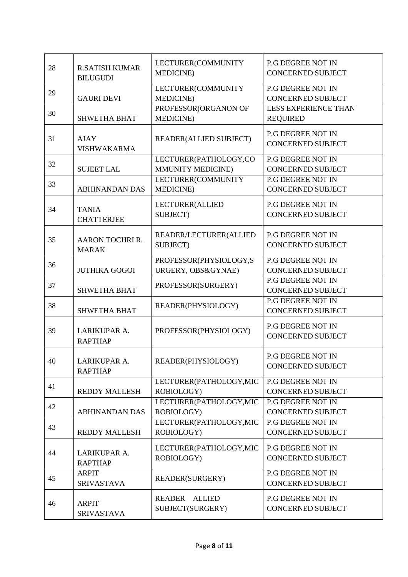| 28 | <b>R.SATISH KUMAR</b><br><b>BILUGUDI</b> | LECTURER(COMMUNITY<br><b>MEDICINE</b> )      | <b>P.G DEGREE NOT IN</b><br><b>CONCERNED SUBJECT</b> |
|----|------------------------------------------|----------------------------------------------|------------------------------------------------------|
| 29 | <b>GAURI DEVI</b>                        | LECTURER(COMMUNITY<br><b>MEDICINE</b> )      | <b>P.G DEGREE NOT IN</b><br><b>CONCERNED SUBJECT</b> |
| 30 | <b>SHWETHA BHAT</b>                      | PROFESSOR(ORGANON OF<br><b>MEDICINE</b> )    | <b>LESS EXPERIENCE THAN</b><br><b>REQUIRED</b>       |
| 31 | <b>AJAY</b><br><b>VISHWAKARMA</b>        | READER(ALLIED SUBJECT)                       | <b>P.G DEGREE NOT IN</b><br><b>CONCERNED SUBJECT</b> |
| 32 | <b>SUJEET LAL</b>                        | LECTURER(PATHOLOGY,CO<br>MMUNITY MEDICINE)   | <b>P.G DEGREE NOT IN</b><br><b>CONCERNED SUBJECT</b> |
| 33 | <b>ABHINANDAN DAS</b>                    | LECTURER(COMMUNITY<br><b>MEDICINE</b> )      | <b>P.G DEGREE NOT IN</b><br><b>CONCERNED SUBJECT</b> |
| 34 | <b>TANIA</b><br><b>CHATTERJEE</b>        | LECTURER(ALLIED<br>SUBJECT)                  | P.G DEGREE NOT IN<br><b>CONCERNED SUBJECT</b>        |
| 35 | <b>AARON TOCHRI R.</b><br><b>MARAK</b>   | READER/LECTURER(ALLIED<br>SUBJECT)           | <b>P.G DEGREE NOT IN</b><br><b>CONCERNED SUBJECT</b> |
| 36 | <b>JUTHIKA GOGOI</b>                     | PROFESSOR(PHYSIOLOGY,S<br>URGERY, OBS&GYNAE) | P.G DEGREE NOT IN<br><b>CONCERNED SUBJECT</b>        |
| 37 | <b>SHWETHA BHAT</b>                      | PROFESSOR(SURGERY)                           | P.G DEGREE NOT IN<br><b>CONCERNED SUBJECT</b>        |
| 38 | <b>SHWETHA BHAT</b>                      | READER(PHYSIOLOGY)                           | <b>P.G DEGREE NOT IN</b><br><b>CONCERNED SUBJECT</b> |
| 39 | LARIKUPAR A.<br><b>RAPTHAP</b>           | PROFESSOR(PHYSIOLOGY)                        | <b>P.G DEGREE NOT IN</b><br><b>CONCERNED SUBJECT</b> |
| 40 | LARIKUPAR A.<br><b>RAPTHAP</b>           | READER(PHYSIOLOGY)                           | <b>P.G DEGREE NOT IN</b><br><b>CONCERNED SUBJECT</b> |
| 41 | <b>REDDY MALLESH</b>                     | LECTURER(PATHOLOGY, MIC<br>ROBIOLOGY)        | P.G DEGREE NOT IN<br><b>CONCERNED SUBJECT</b>        |
| 42 | <b>ABHINANDAN DAS</b>                    | LECTURER(PATHOLOGY, MIC<br>ROBIOLOGY)        | <b>P.G DEGREE NOT IN</b><br><b>CONCERNED SUBJECT</b> |
| 43 | <b>REDDY MALLESH</b>                     | LECTURER(PATHOLOGY, MIC<br>ROBIOLOGY)        | <b>P.G DEGREE NOT IN</b><br><b>CONCERNED SUBJECT</b> |
| 44 | LARIKUPAR A.<br><b>RAPTHAP</b>           | LECTURER(PATHOLOGY, MIC<br>ROBIOLOGY)        | P.G DEGREE NOT IN<br><b>CONCERNED SUBJECT</b>        |
| 45 | <b>ARPIT</b><br><b>SRIVASTAVA</b>        | READER(SURGERY)                              | P.G DEGREE NOT IN<br><b>CONCERNED SUBJECT</b>        |
| 46 | <b>ARPIT</b><br><b>SRIVASTAVA</b>        | <b>READER - ALLIED</b><br>SUBJECT(SURGERY)   | P.G DEGREE NOT IN<br><b>CONCERNED SUBJECT</b>        |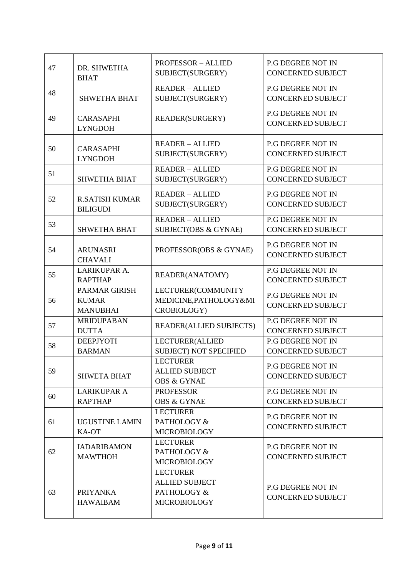| 47 | DR. SHWETHA<br><b>BHAT</b>                              | <b>PROFESSOR - ALLIED</b><br>SUBJECT(SURGERY)                                  | <b>P.G DEGREE NOT IN</b><br><b>CONCERNED SUBJECT</b> |
|----|---------------------------------------------------------|--------------------------------------------------------------------------------|------------------------------------------------------|
| 48 | <b>SHWETHA BHAT</b>                                     | <b>READER - ALLIED</b><br>SUBJECT(SURGERY)                                     | <b>P.G DEGREE NOT IN</b><br><b>CONCERNED SUBJECT</b> |
| 49 | <b>CARASAPHI</b><br><b>LYNGDOH</b>                      | READER(SURGERY)                                                                | P.G DEGREE NOT IN<br><b>CONCERNED SUBJECT</b>        |
| 50 | <b>CARASAPHI</b><br><b>LYNGDOH</b>                      | <b>READER - ALLIED</b><br>SUBJECT(SURGERY)                                     | <b>P.G DEGREE NOT IN</b><br><b>CONCERNED SUBJECT</b> |
| 51 | <b>SHWETHA BHAT</b>                                     | <b>READER - ALLIED</b><br>SUBJECT(SURGERY)                                     | <b>P.G DEGREE NOT IN</b><br><b>CONCERNED SUBJECT</b> |
| 52 | <b>R.SATISH KUMAR</b><br><b>BILIGUDI</b>                | <b>READER - ALLIED</b><br>SUBJECT(SURGERY)                                     | <b>P.G DEGREE NOT IN</b><br><b>CONCERNED SUBJECT</b> |
| 53 | <b>SHWETHA BHAT</b>                                     | <b>READER - ALLIED</b><br>SUBJECT(OBS & GYNAE)                                 | <b>P.G DEGREE NOT IN</b><br><b>CONCERNED SUBJECT</b> |
| 54 | <b>ARUNASRI</b><br><b>CHAVALI</b>                       | PROFESSOR(OBS & GYNAE)                                                         | <b>P.G DEGREE NOT IN</b><br><b>CONCERNED SUBJECT</b> |
| 55 | LARIKUPAR A.<br><b>RAPTHAP</b>                          | READER(ANATOMY)                                                                | <b>P.G DEGREE NOT IN</b><br><b>CONCERNED SUBJECT</b> |
| 56 | <b>PARMAR GIRISH</b><br><b>KUMAR</b><br><b>MANUBHAI</b> | LECTURER(COMMUNITY<br>MEDICINE, PATHOLOGY&MI<br>CROBIOLOGY)                    | P.G DEGREE NOT IN<br><b>CONCERNED SUBJECT</b>        |
| 57 | <b>MRIDUPABAN</b><br><b>DUTTA</b>                       | <b>READER(ALLIED SUBJECTS)</b>                                                 | <b>P.G DEGREE NOT IN</b><br><b>CONCERNED SUBJECT</b> |
| 58 | <b>DEEPJYOTI</b><br><b>BARMAN</b>                       | LECTURER(ALLIED<br><b>SUBJECT) NOT SPECIFIED</b>                               | <b>P.G DEGREE NOT IN</b><br><b>CONCERNED SUBJECT</b> |
| 59 | <b>SHWETA BHAT</b>                                      | <b>LECTURER</b><br><b>ALLIED SUBJECT</b><br><b>OBS &amp; GYNAE</b>             | <b>P.G DEGREE NOT IN</b><br><b>CONCERNED SUBJECT</b> |
| 60 | <b>LARIKUPAR A</b><br><b>RAPTHAP</b>                    | <b>PROFESSOR</b><br><b>OBS &amp; GYNAE</b>                                     | <b>P.G DEGREE NOT IN</b><br><b>CONCERNED SUBJECT</b> |
| 61 | UGUSTINE LAMIN<br>KA-OT                                 | <b>LECTURER</b><br>PATHOLOGY &<br><b>MICROBIOLOGY</b>                          | <b>P.G DEGREE NOT IN</b><br><b>CONCERNED SUBJECT</b> |
| 62 | <b>IADARIBAMON</b><br><b>MAWTHOH</b>                    | <b>LECTURER</b><br>PATHOLOGY &<br><b>MICROBIOLOGY</b>                          | P.G DEGREE NOT IN<br><b>CONCERNED SUBJECT</b>        |
| 63 | <b>PRIYANKA</b><br><b>HAWAIBAM</b>                      | <b>LECTURER</b><br><b>ALLIED SUBJECT</b><br>PATHOLOGY &<br><b>MICROBIOLOGY</b> | <b>P.G DEGREE NOT IN</b><br><b>CONCERNED SUBJECT</b> |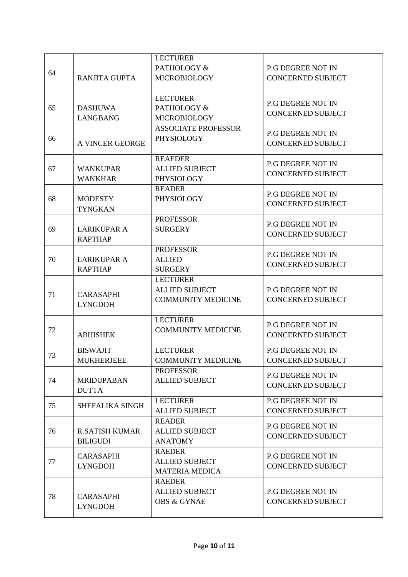|    |                                          | <b>LECTURER</b><br>PATHOLOGY &                                        | P.G DEGREE NOT IN                                    |
|----|------------------------------------------|-----------------------------------------------------------------------|------------------------------------------------------|
| 64 | <b>RANJITA GUPTA</b>                     | <b>MICROBIOLOGY</b>                                                   | <b>CONCERNED SUBJECT</b>                             |
| 65 | <b>DASHUWA</b><br><b>LANGBANG</b>        | <b>LECTURER</b><br>PATHOLOGY &<br><b>MICROBIOLOGY</b>                 | <b>P.G DEGREE NOT IN</b><br><b>CONCERNED SUBJECT</b> |
| 66 | <b>A VINCER GEORGE</b>                   | <b>ASSOCIATE PROFESSOR</b><br><b>PHYSIOLOGY</b>                       | <b>P.G DEGREE NOT IN</b><br><b>CONCERNED SUBJECT</b> |
| 67 | <b>WANKUPAR</b><br><b>WANKHAR</b>        | <b>REAEDER</b><br><b>ALLIED SUBJECT</b><br><b>PHYSIOLOGY</b>          | <b>P.G DEGREE NOT IN</b><br><b>CONCERNED SUBJECT</b> |
| 68 | <b>MODESTY</b><br><b>TYNGKAN</b>         | <b>READER</b><br>PHYSIOLOGY                                           | <b>P.G DEGREE NOT IN</b><br><b>CONCERNED SUBJECT</b> |
| 69 | <b>LARIKUPAR A</b><br><b>RAPTHAP</b>     | <b>PROFESSOR</b><br><b>SURGERY</b>                                    | <b>P.G DEGREE NOT IN</b><br><b>CONCERNED SUBJECT</b> |
| 70 | <b>LARIKUPAR A</b><br><b>RAPTHAP</b>     | <b>PROFESSOR</b><br><b>ALLIED</b><br><b>SURGERY</b>                   | <b>P.G DEGREE NOT IN</b><br><b>CONCERNED SUBJECT</b> |
| 71 | <b>CARASAPHI</b><br><b>LYNGDOH</b>       | <b>LECTURER</b><br><b>ALLIED SUBJECT</b><br><b>COMMUNITY MEDICINE</b> | <b>P.G DEGREE NOT IN</b><br><b>CONCERNED SUBJECT</b> |
| 72 | <b>ABHISHEK</b>                          | <b>LECTURER</b><br><b>COMMUNITY MEDICINE</b>                          | <b>P.G DEGREE NOT IN</b><br><b>CONCERNED SUBJECT</b> |
| 73 | <b>BISWAJIT</b><br><b>MUKHERJEEE</b>     | <b>LECTURER</b><br><b>COMMUNITY MEDICINE</b>                          | P.G DEGREE NOT IN<br><b>CONCERNED SUBJECT</b>        |
| 74 | <b>MRIDUPABAN</b><br><b>DUTTA</b>        | <b>PROFESSOR</b><br><b>ALLIED SUBJECT</b>                             | <b>P.G DEGREE NOT IN</b><br><b>CONCERNED SUBJECT</b> |
| 75 | SHEFALIKA SINGH                          | <b>LECTURER</b><br><b>ALLIED SUBJECT</b>                              | <b>P.G DEGREE NOT IN</b><br><b>CONCERNED SUBJECT</b> |
| 76 | <b>R.SATISH KUMAR</b><br><b>BILIGUDI</b> | <b>READER</b><br><b>ALLIED SUBJECT</b><br><b>ANATOMY</b>              | P.G DEGREE NOT IN<br><b>CONCERNED SUBJECT</b>        |
| 77 | <b>CARASAPHI</b><br><b>LYNGDOH</b>       | <b>RAEDER</b><br><b>ALLIED SUBJECT</b><br><b>MATERIA MEDICA</b>       | <b>P.G DEGREE NOT IN</b><br><b>CONCERNED SUBJECT</b> |
| 78 | <b>CARASAPHI</b><br><b>LYNGDOH</b>       | <b>RAEDER</b><br><b>ALLIED SUBJECT</b><br><b>OBS &amp; GYNAE</b>      | P.G DEGREE NOT IN<br><b>CONCERNED SUBJECT</b>        |